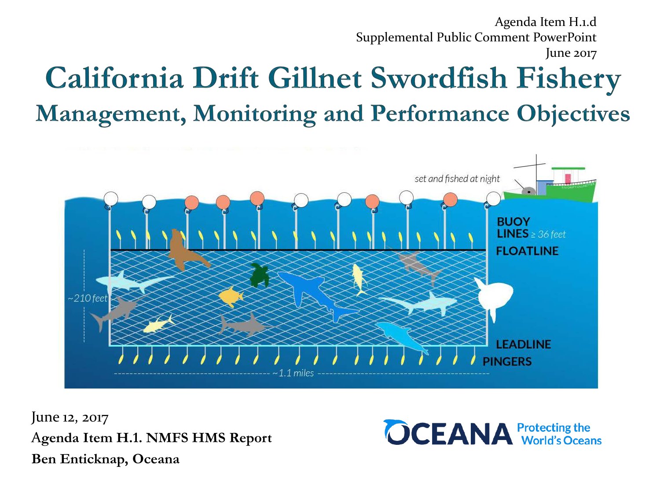Agenda Item H.1.d Supplemental Public Comment PowerPoint June 2017

## **California Drift Gillnet Swordfish Fishery Management, Monitoring and Performance Objectives**



June 12, 2017 A**genda Item H.1. NMFS HMS Report Ben Enticknap, Oceana**

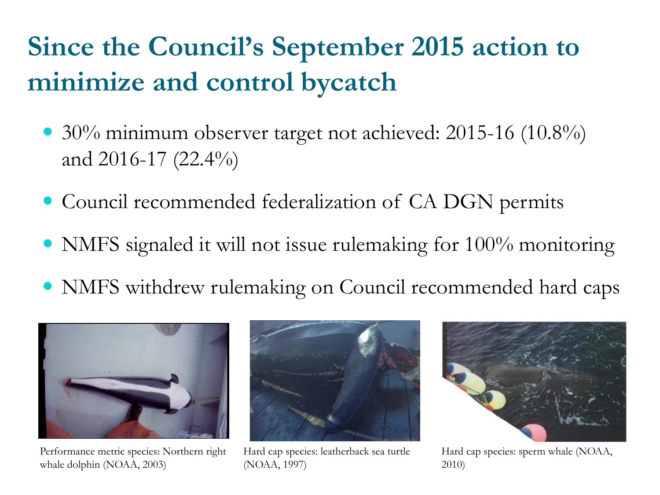## **Since the Council's September 2015 action to minimize and control bycatch**

- 30% minimum observer target not achieved: 2015-16 (10.8%) and 2016-17 (22.4%)
- Council recommended federalization of CA DGN permits
- NMFS signaled it will not issue rulemaking for 100% monitoring
- NMFS withdrew rulemaking on Council recommended hard caps



Performance metric species: Northern right whale dolphin (NOAA, 2003)



Hard cap species: leatherback sea turtle (NOAA, 1997)



Hard cap species: sperm whale (NOAA, 2010)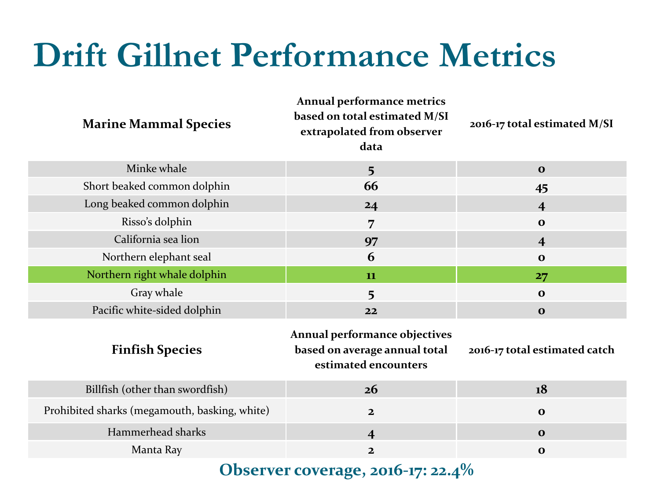## **Drift Gillnet Performance Metrics**

| <b>Marine Mammal Species</b>                  | Annual performance metrics<br>based on total estimated M/SI<br>extrapolated from observer<br>data | 2016-17 total estimated M/SI  |
|-----------------------------------------------|---------------------------------------------------------------------------------------------------|-------------------------------|
| Minke whale                                   | $5\overline{)}$                                                                                   | $\mathbf{o}$                  |
| Short beaked common dolphin                   | 66                                                                                                | 45                            |
| Long beaked common dolphin                    | 24                                                                                                | $\overline{4}$                |
| Risso's dolphin                               | 7                                                                                                 | $\mathbf 0$                   |
| California sea lion                           | 97                                                                                                | $\overline{\mathbf{4}}$       |
| Northern elephant seal                        | 6                                                                                                 | $\mathbf{o}$                  |
| Northern right whale dolphin                  | 11                                                                                                | 27                            |
| Gray whale                                    | 5                                                                                                 | $\mathbf{o}$                  |
| Pacific white-sided dolphin                   | 22                                                                                                | $\mathbf 0$                   |
| <b>Finfish Species</b>                        | Annual performance objectives<br>based on average annual total<br>estimated encounters            | 2016-17 total estimated catch |
| Billfish (other than swordfish)               | 26                                                                                                | 18                            |
| Prohibited sharks (megamouth, basking, white) | $\overline{\mathbf{2}}$                                                                           | $\mathbf 0$                   |
| Hammerhead sharks                             | $\overline{\mathbf{4}}$                                                                           | $\mathbf{o}$                  |
| Manta Ray                                     | $\overline{2}$                                                                                    | $\mathbf{o}$                  |
|                                               |                                                                                                   |                               |

**Observer coverage, 2016-17: 22.4%**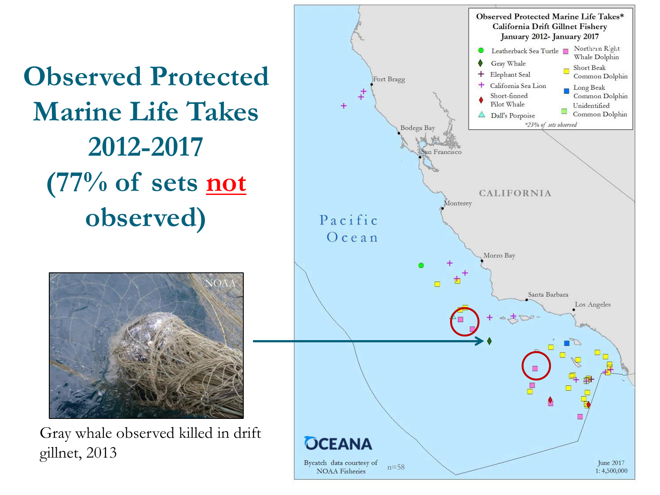**Observed Protected Marine Life Takes 2012-2017 (77% of sets not observed)**



Gray whale observed killed in drift gillnet, 2013